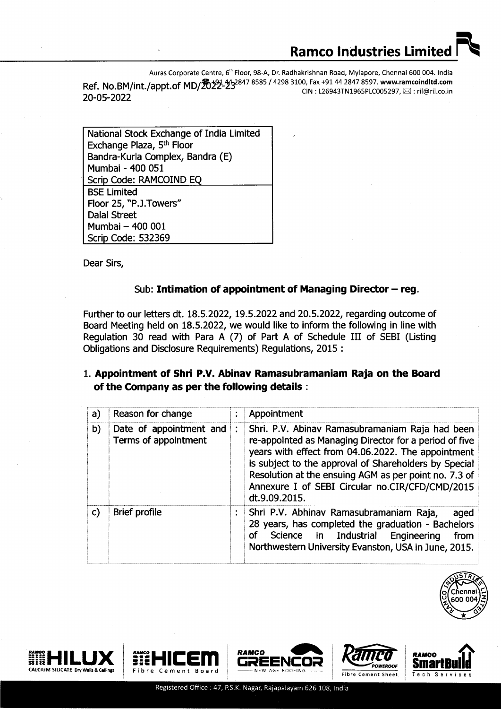Auras Corporate Centre, 6<sup>th</sup> Floor, 98-A, Dr. Radhakrishnan Road, Mylapore, Chennai 600 004. India  $\textsf{Ref. No.BM/int.}/\textsf{appt.}$ of MD $/\textsf{Zb22-23}^{847\,8585\,/\,4298\,3100,\, \textsf{Fax +91\,44\,2847\,8597.\,}$ www.ramcoindltd.com<br>CIN : L26943TN1965PLC005297  $\boxtimes$  : ril@ril.co.in الاس المسابق التي تكريم المسابق المسابق المسابق التي تكريم المسابق المسابق المسابق المسابق المسابق المسابق ال<br>20−05−2022 CIN: L26943TN1965PLC005297, ⊠ : ril@ril.co.ir

National Stock Exchange of India Limited Exchange Plaza, 5th Floor Bandra-Kurla Complex, Bandra (E) Mumbai - 400 051 Scrip Code: RAMCOIND EQ BSE Limited Floor 25, "P.J.Towers" Dalal Street Mumbai- 400 001 Scrip Code: 532369

Dear Sirs,

## Sub: Intimation of appointment of Managing Director  $-$  reg.

Fufther to our letters dt. 18.5.2022, 19.5.2022 and 20.5.2022, regarding outcome of Board Meeting held on 18.5.2022, we would like to inform the following in line with Regulation 30 read with Para A (7) of Part A of Schedule III of SEBI (Listing Obligations and Disclosure Requirements) Regulations, 2015 :

## l. Appointment of Shri P.V. Abinav Ramasubramaniam Raja on the Board of the Company as per the following details :

| a) | Reason for change                               | $\bullet$ | Appointment                                                                                                                                                                                                                                                                                                                                           |
|----|-------------------------------------------------|-----------|-------------------------------------------------------------------------------------------------------------------------------------------------------------------------------------------------------------------------------------------------------------------------------------------------------------------------------------------------------|
| b) | Date of appointment and<br>Terms of appointment |           | Shri. P.V. Abinav Ramasubramaniam Raja had been<br>re-appointed as Managing Director for a period of five<br>years with effect from 04.06.2022. The appointment<br>is subject to the approval of Shareholders by Special<br>Resolution at the ensuing AGM as per point no. 7.3 of<br>Annexure I of SEBI Circular no.CIR/CFD/CMD/2015<br>dt.9.09.2015. |
| C) | Brief profile                                   |           | Shri P.V. Abhinav Ramasubramaniam Raja,<br>aged<br>28 years, has completed the graduation - Bachelors<br>Science in Industrial<br>Engineering<br>of<br>from<br>Northwestern University Evanston, USA in June, 2015.                                                                                                                                   |